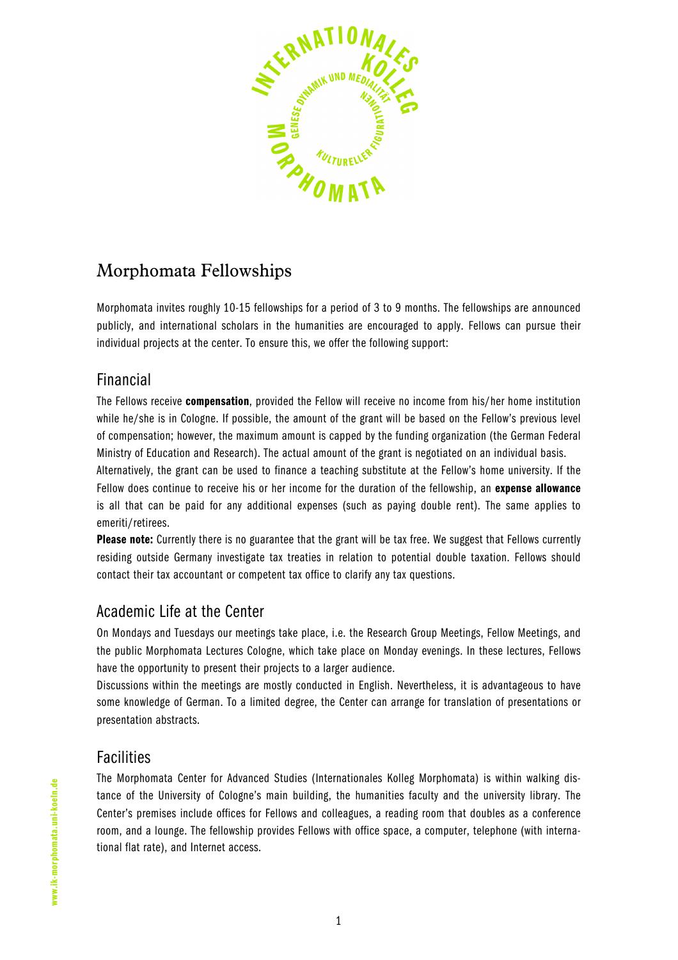

# Morphomata Fellowships

Morphomata invites roughly 10-15 fellowships for a period of 3 to 9 months. The fellowships are announced publicly, and international scholars in the humanities are encouraged to apply. Fellows can pursue their individual projects at the center. To ensure this, we offer the following support:

### Financial

The Fellows receive compensation, provided the Fellow will receive no income from his/her home institution while he/she is in Cologne. If possible, the amount of the grant will be based on the Fellow's previous level of compensation; however, the maximum amount is capped by the funding organization (the German Federal Ministry of Education and Research). The actual amount of the grant is negotiated on an individual basis. Alternatively, the grant can be used to finance a teaching substitute at the Fellow's home university. If the Fellow does continue to receive his or her income for the duration of the fellowship, an **expense allowance** 

is all that can be paid for any additional expenses (such as paying double rent). The same applies to emeriti/retirees. Please note: Currently there is no guarantee that the grant will be tax free. We suggest that Fellows currently residing outside Germany investigate tax treaties in relation to potential double taxation. Fellows should

contact their tax accountant or competent tax office to clarify any tax questions.

# Academic Life at the Center

On Mondays and Tuesdays our meetings take place, i.e. the Research Group Meetings, Fellow Meetings, and the public Morphomata Lectures Cologne, which take place on Monday evenings. In these lectures, Fellows have the opportunity to present their projects to a larger audience.

Discussions within the meetings are mostly conducted in English. Nevertheless, it is advantageous to have some knowledge of German. To a limited degree, the Center can arrange for translation of presentations or presentation abstracts.

# **Facilities**

The Morphomata Center for Advanced Studies (Internationales Kolleg Morphomata) is within walking distance of the University of Cologne's main building, the humanities faculty and the university library. The Center's premises include offices for Fellows and colleagues, a reading room that doubles as a conference room, and a lounge. The fellowship provides Fellows with office space, a computer, telephone (with international flat rate), and Internet access.